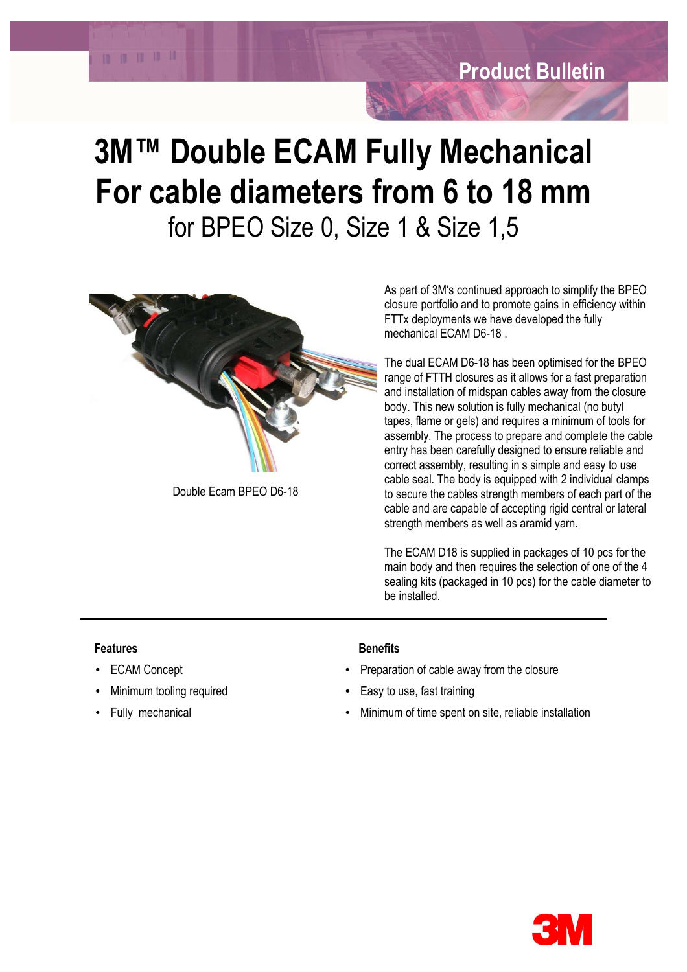## **3M™ Double ECAM Fully Mechanical For cable diameters from 6 to 18 mm** for BPEO Size 0, Size 1 & Size 1,5



Double Ecam BPEO D6-18

As part of 3M's continued approach to simplify the BPEO closure portfolio and to promote gains in efficiency within FTTx deployments we have developed the fully mechanical ECAM D6-18 .

The dual ECAM D6-18 has been optimised for the BPEO range of FTTH closures as it allows for a fast preparation and installation of midspan cables away from the closure body. This new solution is fully mechanical (no butyl tapes, flame or gels) and requires a minimum of tools for assembly. The process to prepare and complete the cable entry has been carefully designed to ensure reliable and correct assembly, resulting in s simple and easy to use cable seal. The body is equipped with 2 individual clamps to secure the cables strength members of each part of the cable and are capable of accepting rigid central or lateral strength members as well as aramid yarn.

The ECAM D18 is supplied in packages of 10 pcs for the main body and then requires the selection of one of the 4 sealing kits (packaged in 10 pcs) for the cable diameter to be installed.

## **Features** Benefits

**10 10 10 10 10** 

- 
- 

- **ECAM Concept Preparation of cable away from the closure**
- Minimum tooling required Easy to use, fast training
- Fully mechanical Minimum of time spent on site, reliable installation